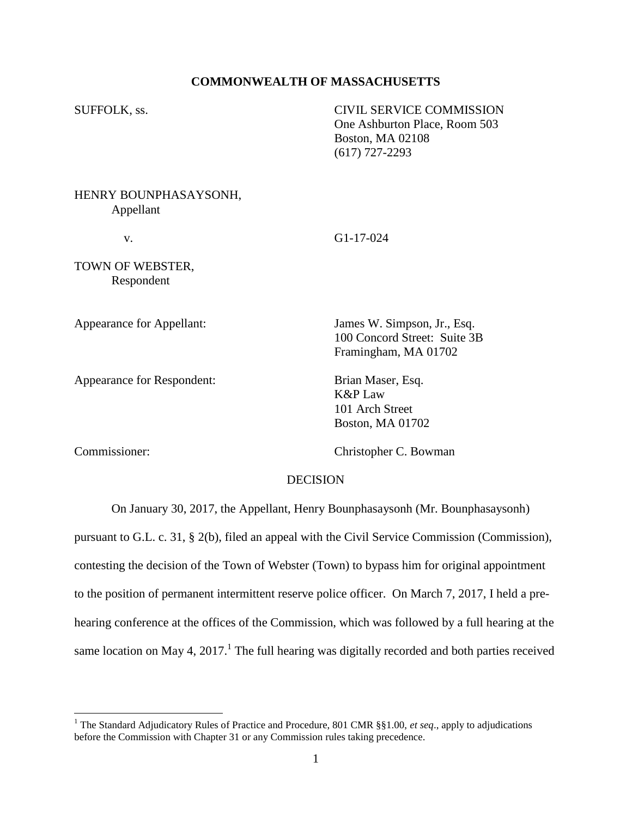## **COMMONWEALTH OF MASSACHUSETTS**

| SUFFOLK, ss.                       | <b>CIVIL SERVICE COMMISSION</b><br>One Ashburton Place, Room 503<br>Boston, MA 02108<br>$(617)$ 727-2293 |
|------------------------------------|----------------------------------------------------------------------------------------------------------|
| HENRY BOUNPHASAYSONH,<br>Appellant |                                                                                                          |

v. G1-17-024

TOWN OF WEBSTER, Respondent

Appearance for Appellant: James W. Simpson, Jr., Esq.

Appearance for Respondent: Brian Maser, Esq.

100 Concord Street: Suite 3B Framingham, MA 01702

K&P Law 101 Arch Street Boston, MA 01702

 $\overline{a}$ 

Commissioner: Christopher C. Bowman

### DECISION

On January 30, 2017, the Appellant, Henry Bounphasaysonh (Mr. Bounphasaysonh)

pursuant to G.L. c. 31, § 2(b), filed an appeal with the Civil Service Commission (Commission), contesting the decision of the Town of Webster (Town) to bypass him for original appointment to the position of permanent intermittent reserve police officer. On March 7, 2017, I held a prehearing conference at the offices of the Commission, which was followed by a full hearing at the same location on May 4, 2017.<sup>1</sup> The full hearing was digitally recorded and both parties received

<sup>&</sup>lt;sup>1</sup> The Standard Adjudicatory Rules of Practice and Procedure, 801 CMR §§1.00, *et seq.*, apply to adjudications before the Commission with Chapter 31 or any Commission rules taking precedence.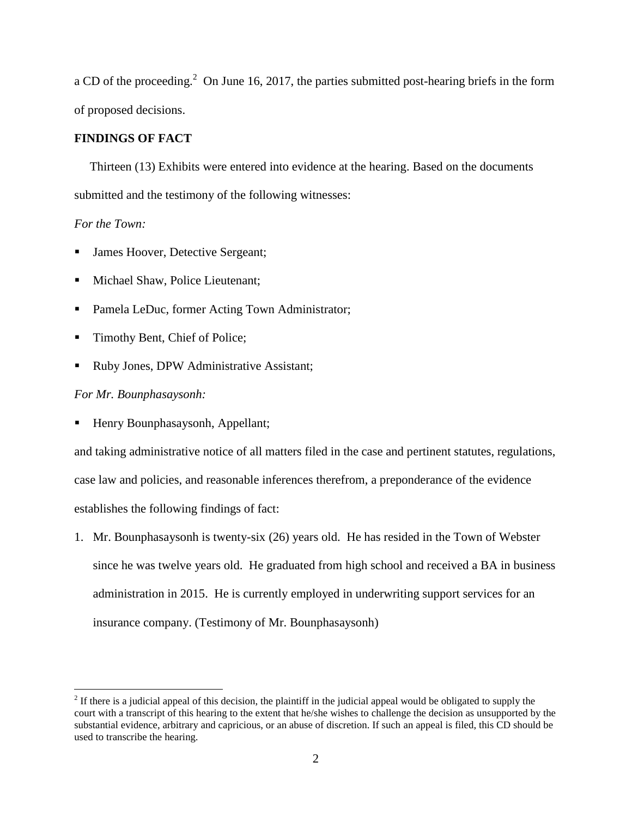a CD of the proceeding.<sup>2</sup> On June 16, 2017, the parties submitted post-hearing briefs in the form of proposed decisions.

# **FINDINGS OF FACT**

 Thirteen (13) Exhibits were entered into evidence at the hearing. Based on the documents submitted and the testimony of the following witnesses:

# *For the Town:*

- James Hoover, Detective Sergeant;
- Michael Shaw, Police Lieutenant;
- Pamela LeDuc, former Acting Town Administrator;
- Timothy Bent, Chief of Police;
- Ruby Jones, DPW Administrative Assistant;

#### *For Mr. Bounphasaysonh:*

 $\overline{a}$ 

Henry Bounphasaysonh, Appellant;

and taking administrative notice of all matters filed in the case and pertinent statutes, regulations, case law and policies, and reasonable inferences therefrom, a preponderance of the evidence establishes the following findings of fact:

1. Mr. Bounphasaysonh is twenty-six (26) years old. He has resided in the Town of Webster since he was twelve years old. He graduated from high school and received a BA in business administration in 2015. He is currently employed in underwriting support services for an insurance company. (Testimony of Mr. Bounphasaysonh)

 $2<sup>2</sup>$  If there is a judicial appeal of this decision, the plaintiff in the judicial appeal would be obligated to supply the court with a transcript of this hearing to the extent that he/she wishes to challenge the decision as unsupported by the substantial evidence, arbitrary and capricious, or an abuse of discretion. If such an appeal is filed, this CD should be used to transcribe the hearing.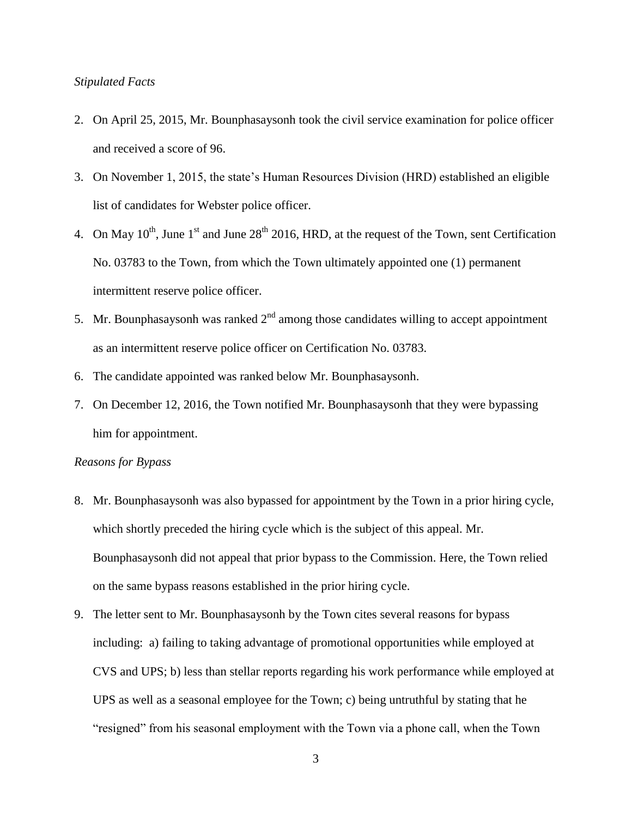### *Stipulated Facts*

- 2. On April 25, 2015, Mr. Bounphasaysonh took the civil service examination for police officer and received a score of 96.
- 3. On November 1, 2015, the state's Human Resources Division (HRD) established an eligible list of candidates for Webster police officer.
- 4. On May  $10^{th}$ , June  $1^{st}$  and June  $28^{th}$  2016, HRD, at the request of the Town, sent Certification No. 03783 to the Town, from which the Town ultimately appointed one (1) permanent intermittent reserve police officer.
- 5. Mr. Bounphasaysonh was ranked  $2<sup>nd</sup>$  among those candidates willing to accept appointment as an intermittent reserve police officer on Certification No. 03783.
- 6. The candidate appointed was ranked below Mr. Bounphasaysonh.
- 7. On December 12, 2016, the Town notified Mr. Bounphasaysonh that they were bypassing him for appointment.

# *Reasons for Bypass*

- 8. Mr. Bounphasaysonh was also bypassed for appointment by the Town in a prior hiring cycle, which shortly preceded the hiring cycle which is the subject of this appeal. Mr. Bounphasaysonh did not appeal that prior bypass to the Commission. Here, the Town relied on the same bypass reasons established in the prior hiring cycle.
- 9. The letter sent to Mr. Bounphasaysonh by the Town cites several reasons for bypass including: a) failing to taking advantage of promotional opportunities while employed at CVS and UPS; b) less than stellar reports regarding his work performance while employed at UPS as well as a seasonal employee for the Town; c) being untruthful by stating that he "resigned" from his seasonal employment with the Town via a phone call, when the Town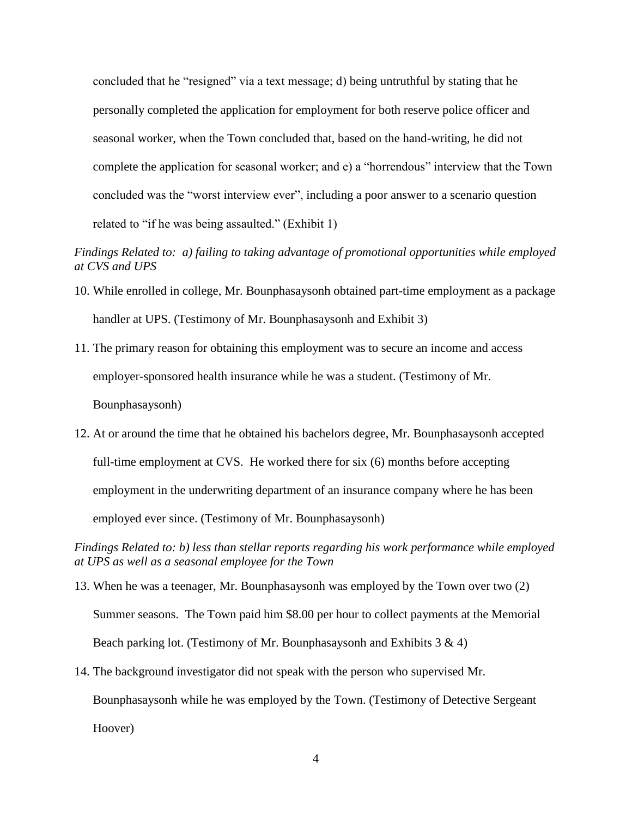concluded that he "resigned" via a text message; d) being untruthful by stating that he personally completed the application for employment for both reserve police officer and seasonal worker, when the Town concluded that, based on the hand-writing, he did not complete the application for seasonal worker; and e) a "horrendous" interview that the Town concluded was the "worst interview ever", including a poor answer to a scenario question related to "if he was being assaulted." (Exhibit 1)

*Findings Related to: a) failing to taking advantage of promotional opportunities while employed at CVS and UPS*

- 10. While enrolled in college, Mr. Bounphasaysonh obtained part-time employment as a package handler at UPS. (Testimony of Mr. Bounphasaysonh and Exhibit 3)
- 11. The primary reason for obtaining this employment was to secure an income and access employer-sponsored health insurance while he was a student. (Testimony of Mr. Bounphasaysonh)
- 12. At or around the time that he obtained his bachelors degree, Mr. Bounphasaysonh accepted full-time employment at CVS. He worked there for six (6) months before accepting employment in the underwriting department of an insurance company where he has been employed ever since. (Testimony of Mr. Bounphasaysonh)

*Findings Related to: b) less than stellar reports regarding his work performance while employed at UPS as well as a seasonal employee for the Town*

- 13. When he was a teenager, Mr. Bounphasaysonh was employed by the Town over two (2) Summer seasons. The Town paid him \$8.00 per hour to collect payments at the Memorial Beach parking lot. (Testimony of Mr. Bounphasaysonh and Exhibits  $3 \& 4$ )
- 14. The background investigator did not speak with the person who supervised Mr. Bounphasaysonh while he was employed by the Town. (Testimony of Detective Sergeant Hoover)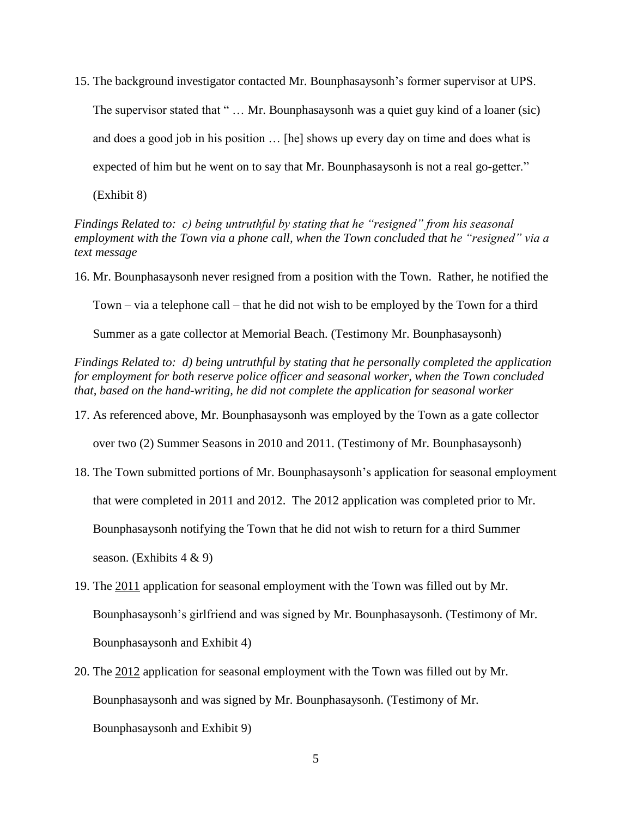15. The background investigator contacted Mr. Bounphasaysonh's former supervisor at UPS.

The supervisor stated that " ... Mr. Bounphasaysonh was a quiet guy kind of a loaner (sic) and does a good job in his position … [he] shows up every day on time and does what is expected of him but he went on to say that Mr. Bounphasaysonh is not a real go-getter."

(Exhibit 8)

*Findings Related to: c) being untruthful by stating that he "resigned" from his seasonal employment with the Town via a phone call, when the Town concluded that he "resigned" via a text message*

16. Mr. Bounphasaysonh never resigned from a position with the Town. Rather, he notified the

Town – via a telephone call – that he did not wish to be employed by the Town for a third

Summer as a gate collector at Memorial Beach. (Testimony Mr. Bounphasaysonh)

*Findings Related to: d) being untruthful by stating that he personally completed the application for employment for both reserve police officer and seasonal worker, when the Town concluded that, based on the hand-writing, he did not complete the application for seasonal worker*

17. As referenced above, Mr. Bounphasaysonh was employed by the Town as a gate collector

over two (2) Summer Seasons in 2010 and 2011. (Testimony of Mr. Bounphasaysonh)

- 18. The Town submitted portions of Mr. Bounphasaysonh's application for seasonal employment that were completed in 2011 and 2012. The 2012 application was completed prior to Mr. Bounphasaysonh notifying the Town that he did not wish to return for a third Summer season. (Exhibits  $4 \& 9$ )
- 19. The 2011 application for seasonal employment with the Town was filled out by Mr. Bounphasaysonh's girlfriend and was signed by Mr. Bounphasaysonh. (Testimony of Mr. Bounphasaysonh and Exhibit 4)
- 20. The 2012 application for seasonal employment with the Town was filled out by Mr. Bounphasaysonh and was signed by Mr. Bounphasaysonh. (Testimony of Mr. Bounphasaysonh and Exhibit 9)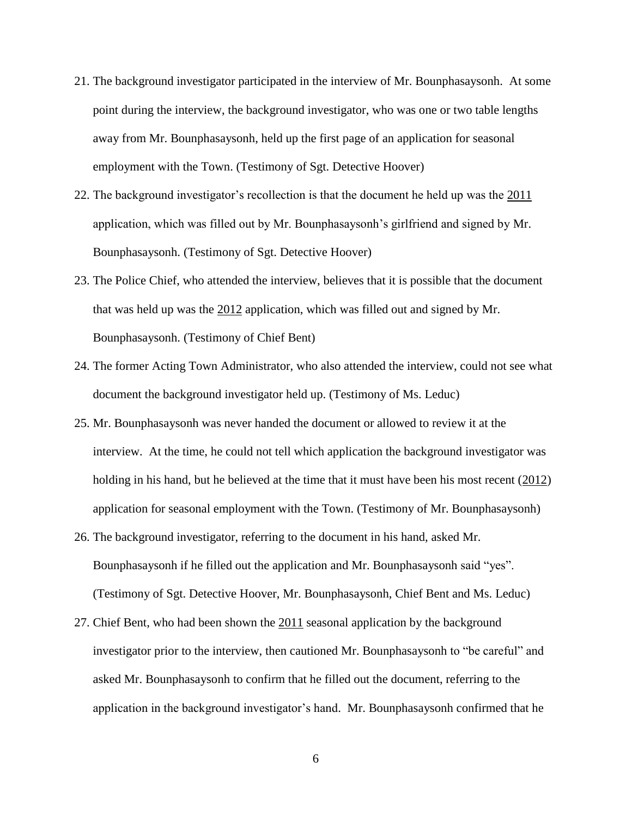- 21. The background investigator participated in the interview of Mr. Bounphasaysonh. At some point during the interview, the background investigator, who was one or two table lengths away from Mr. Bounphasaysonh, held up the first page of an application for seasonal employment with the Town. (Testimony of Sgt. Detective Hoover)
- 22. The background investigator's recollection is that the document he held up was the 2011 application, which was filled out by Mr. Bounphasaysonh's girlfriend and signed by Mr. Bounphasaysonh. (Testimony of Sgt. Detective Hoover)
- 23. The Police Chief, who attended the interview, believes that it is possible that the document that was held up was the 2012 application, which was filled out and signed by Mr. Bounphasaysonh. (Testimony of Chief Bent)
- 24. The former Acting Town Administrator, who also attended the interview, could not see what document the background investigator held up. (Testimony of Ms. Leduc)
- 25. Mr. Bounphasaysonh was never handed the document or allowed to review it at the interview. At the time, he could not tell which application the background investigator was holding in his hand, but he believed at the time that it must have been his most recent (2012) application for seasonal employment with the Town. (Testimony of Mr. Bounphasaysonh)
- 26. The background investigator, referring to the document in his hand, asked Mr. Bounphasaysonh if he filled out the application and Mr. Bounphasaysonh said "yes". (Testimony of Sgt. Detective Hoover, Mr. Bounphasaysonh, Chief Bent and Ms. Leduc)
- 27. Chief Bent, who had been shown the 2011 seasonal application by the background investigator prior to the interview, then cautioned Mr. Bounphasaysonh to "be careful" and asked Mr. Bounphasaysonh to confirm that he filled out the document, referring to the application in the background investigator's hand. Mr. Bounphasaysonh confirmed that he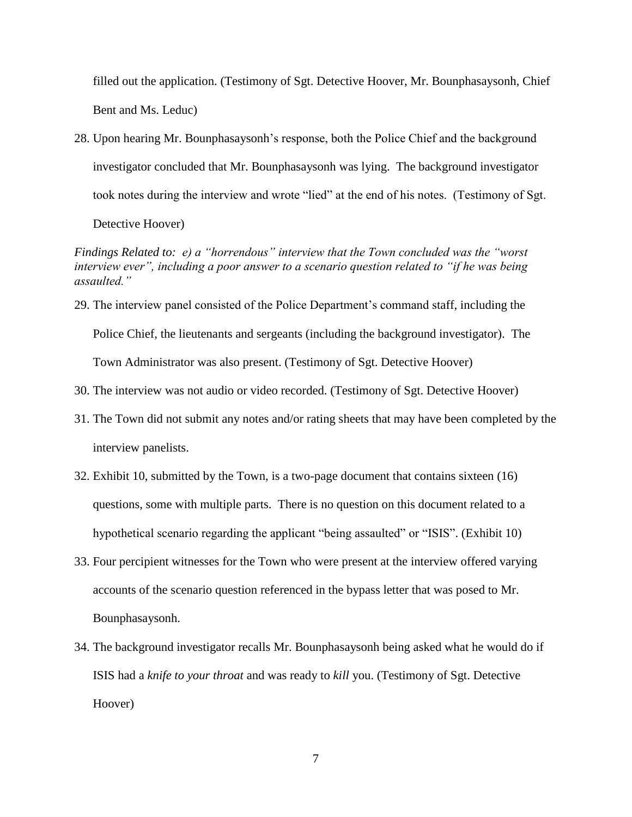filled out the application. (Testimony of Sgt. Detective Hoover, Mr. Bounphasaysonh, Chief Bent and Ms. Leduc)

28. Upon hearing Mr. Bounphasaysonh's response, both the Police Chief and the background investigator concluded that Mr. Bounphasaysonh was lying. The background investigator took notes during the interview and wrote "lied" at the end of his notes. (Testimony of Sgt.

Detective Hoover)

*Findings Related to: e) a "horrendous" interview that the Town concluded was the "worst interview ever", including a poor answer to a scenario question related to "if he was being assaulted."*

- 29. The interview panel consisted of the Police Department's command staff, including the Police Chief, the lieutenants and sergeants (including the background investigator). The Town Administrator was also present. (Testimony of Sgt. Detective Hoover)
- 30. The interview was not audio or video recorded. (Testimony of Sgt. Detective Hoover)
- 31. The Town did not submit any notes and/or rating sheets that may have been completed by the interview panelists.
- 32. Exhibit 10, submitted by the Town, is a two-page document that contains sixteen (16) questions, some with multiple parts. There is no question on this document related to a hypothetical scenario regarding the applicant "being assaulted" or "ISIS". (Exhibit 10)
- 33. Four percipient witnesses for the Town who were present at the interview offered varying accounts of the scenario question referenced in the bypass letter that was posed to Mr. Bounphasaysonh.
- 34. The background investigator recalls Mr. Bounphasaysonh being asked what he would do if ISIS had a *knife to your throat* and was ready to *kill* you. (Testimony of Sgt. Detective Hoover)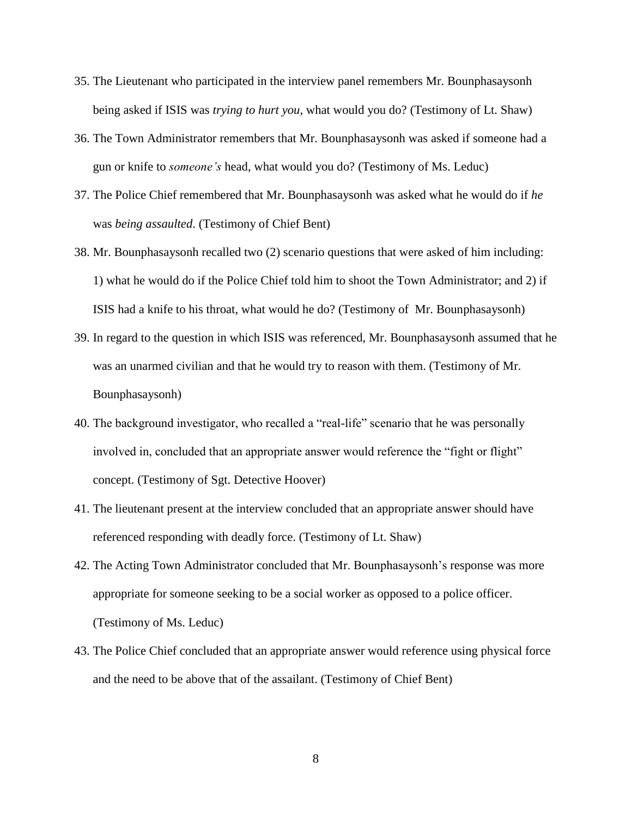- 35. The Lieutenant who participated in the interview panel remembers Mr. Bounphasaysonh being asked if ISIS was *trying to hurt you*, what would you do? (Testimony of Lt. Shaw)
- 36. The Town Administrator remembers that Mr. Bounphasaysonh was asked if someone had a gun or knife to *someone's* head, what would you do? (Testimony of Ms. Leduc)
- 37. The Police Chief remembered that Mr. Bounphasaysonh was asked what he would do if *he* was *being assaulted*. (Testimony of Chief Bent)
- 38. Mr. Bounphasaysonh recalled two (2) scenario questions that were asked of him including: 1) what he would do if the Police Chief told him to shoot the Town Administrator; and 2) if ISIS had a knife to his throat, what would he do? (Testimony of Mr. Bounphasaysonh)
- 39. In regard to the question in which ISIS was referenced, Mr. Bounphasaysonh assumed that he was an unarmed civilian and that he would try to reason with them. (Testimony of Mr. Bounphasaysonh)
- 40. The background investigator, who recalled a "real-life" scenario that he was personally involved in, concluded that an appropriate answer would reference the "fight or flight" concept. (Testimony of Sgt. Detective Hoover)
- 41. The lieutenant present at the interview concluded that an appropriate answer should have referenced responding with deadly force. (Testimony of Lt. Shaw)
- 42. The Acting Town Administrator concluded that Mr. Bounphasaysonh's response was more appropriate for someone seeking to be a social worker as opposed to a police officer. (Testimony of Ms. Leduc)
- 43. The Police Chief concluded that an appropriate answer would reference using physical force and the need to be above that of the assailant. (Testimony of Chief Bent)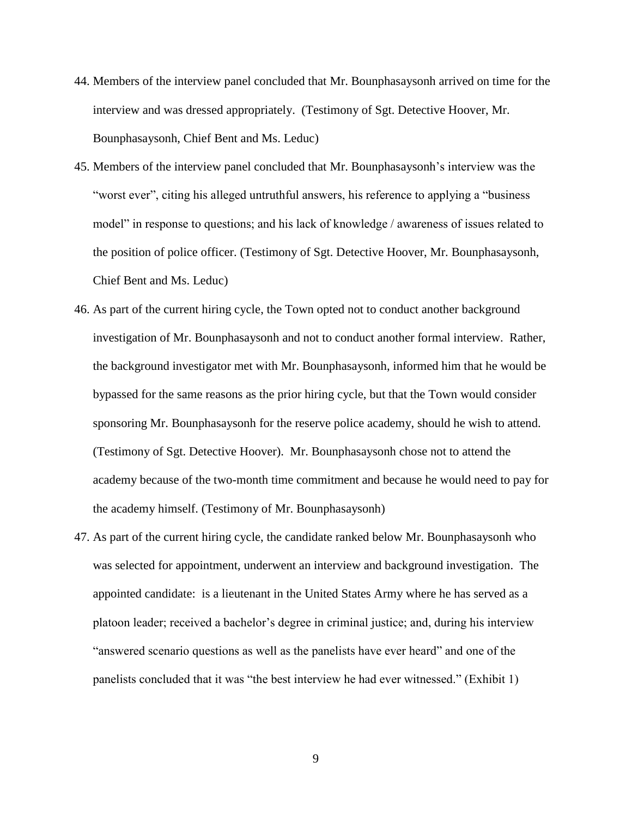- 44. Members of the interview panel concluded that Mr. Bounphasaysonh arrived on time for the interview and was dressed appropriately. (Testimony of Sgt. Detective Hoover, Mr. Bounphasaysonh, Chief Bent and Ms. Leduc)
- 45. Members of the interview panel concluded that Mr. Bounphasaysonh's interview was the "worst ever", citing his alleged untruthful answers, his reference to applying a "business model" in response to questions; and his lack of knowledge / awareness of issues related to the position of police officer. (Testimony of Sgt. Detective Hoover, Mr. Bounphasaysonh, Chief Bent and Ms. Leduc)
- 46. As part of the current hiring cycle, the Town opted not to conduct another background investigation of Mr. Bounphasaysonh and not to conduct another formal interview. Rather, the background investigator met with Mr. Bounphasaysonh, informed him that he would be bypassed for the same reasons as the prior hiring cycle, but that the Town would consider sponsoring Mr. Bounphasaysonh for the reserve police academy, should he wish to attend. (Testimony of Sgt. Detective Hoover). Mr. Bounphasaysonh chose not to attend the academy because of the two-month time commitment and because he would need to pay for the academy himself. (Testimony of Mr. Bounphasaysonh)
- 47. As part of the current hiring cycle, the candidate ranked below Mr. Bounphasaysonh who was selected for appointment, underwent an interview and background investigation. The appointed candidate: is a lieutenant in the United States Army where he has served as a platoon leader; received a bachelor's degree in criminal justice; and, during his interview "answered scenario questions as well as the panelists have ever heard" and one of the panelists concluded that it was "the best interview he had ever witnessed." (Exhibit 1)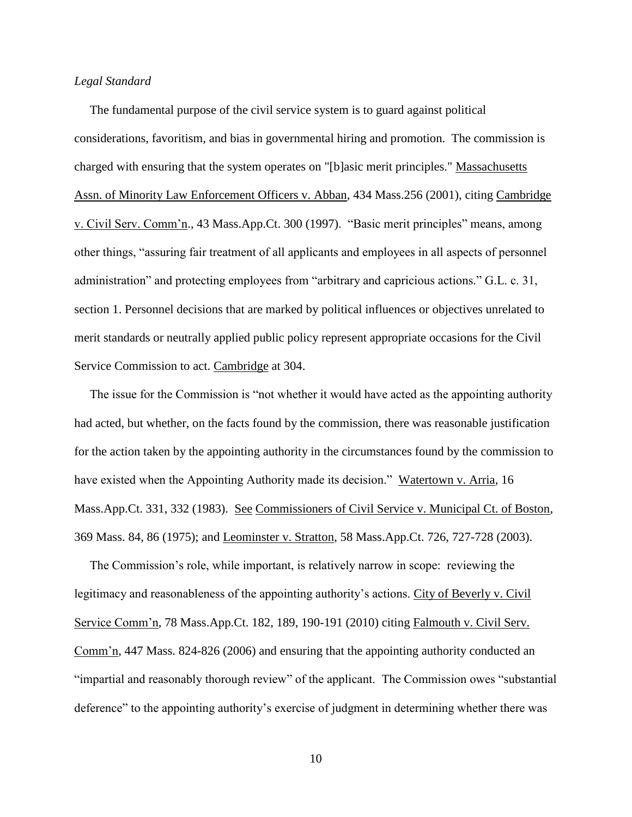## *Legal Standard*

 The fundamental purpose of the civil service system is to guard against political considerations, favoritism, and bias in governmental hiring and promotion. The commission is charged with ensuring that the system operates on "[b]asic merit principles." Massachusetts Assn. of Minority Law Enforcement Officers v. Abban, 434 Mass.256 (2001), citing Cambridge v. Civil Serv. Comm'n., 43 Mass.App.Ct. 300 (1997). "Basic merit principles" means, among other things, "assuring fair treatment of all applicants and employees in all aspects of personnel administration" and protecting employees from "arbitrary and capricious actions." G.L. c. 31, section 1. Personnel decisions that are marked by political influences or objectives unrelated to merit standards or neutrally applied public policy represent appropriate occasions for the Civil Service Commission to act. Cambridge at 304.

 The issue for the Commission is "not whether it would have acted as the appointing authority had acted, but whether, on the facts found by the commission, there was reasonable justification for the action taken by the appointing authority in the circumstances found by the commission to have existed when the Appointing Authority made its decision." Watertown v. Arria, 16 Mass.App.Ct. 331, 332 (1983). See Commissioners of Civil Service v. Municipal Ct. of Boston, 369 Mass. 84, 86 (1975); and Leominster v. Stratton, 58 Mass.App.Ct. 726, 727-728 (2003).

 The Commission's role, while important, is relatively narrow in scope: reviewing the legitimacy and reasonableness of the appointing authority's actions. City of Beverly v. Civil Service Comm'n, 78 Mass.App.Ct. 182, 189, 190-191 (2010) citing Falmouth v. Civil Serv. Comm'n, 447 Mass. 824-826 (2006) and ensuring that the appointing authority conducted an "impartial and reasonably thorough review" of the applicant. The Commission owes "substantial deference" to the appointing authority's exercise of judgment in determining whether there was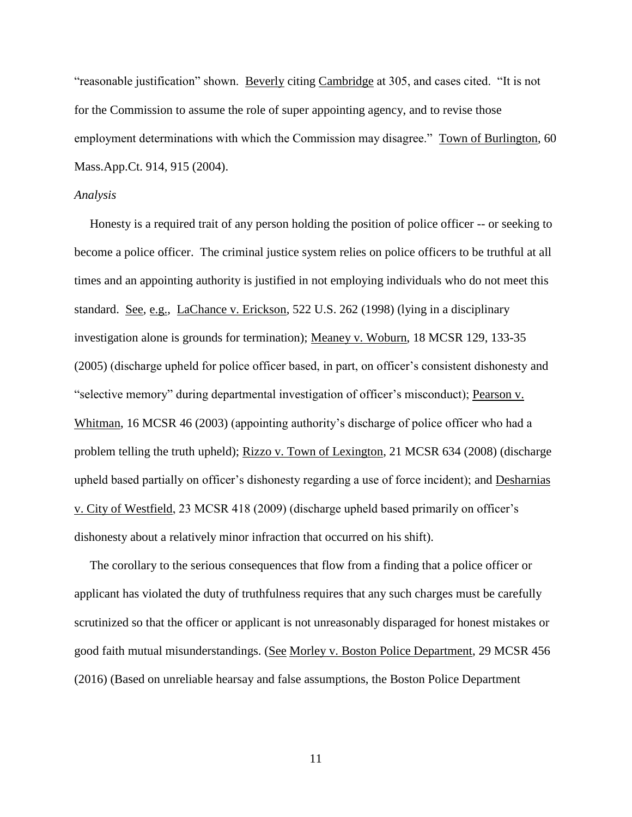"reasonable justification" shown. Beverly citing Cambridge at 305, and cases cited. "It is not for the Commission to assume the role of super appointing agency, and to revise those employment determinations with which the Commission may disagree." Town of Burlington, 60 Mass.App.Ct. 914, 915 (2004).

### *Analysis*

 Honesty is a required trait of any person holding the position of police officer -- or seeking to become a police officer. The criminal justice system relies on police officers to be truthful at all times and an appointing authority is justified in not employing individuals who do not meet this standard. See, e.g., LaChance v. Erickson, 522 U.S. 262 (1998) (lying in a disciplinary investigation alone is grounds for termination); Meaney v. Woburn, 18 MCSR 129, 133-35 (2005) (discharge upheld for police officer based, in part, on officer's consistent dishonesty and "selective memory" during departmental investigation of officer's misconduct); Pearson v. Whitman, 16 MCSR 46 (2003) (appointing authority's discharge of police officer who had a problem telling the truth upheld); Rizzo v. Town of Lexington, 21 MCSR 634 (2008) (discharge upheld based partially on officer's dishonesty regarding a use of force incident); and Desharnias v. City of Westfield, 23 MCSR 418 (2009) (discharge upheld based primarily on officer's dishonesty about a relatively minor infraction that occurred on his shift).

 The corollary to the serious consequences that flow from a finding that a police officer or applicant has violated the duty of truthfulness requires that any such charges must be carefully scrutinized so that the officer or applicant is not unreasonably disparaged for honest mistakes or good faith mutual misunderstandings. (See Morley v. Boston Police Department, 29 MCSR 456 (2016) (Based on unreliable hearsay and false assumptions, the Boston Police Department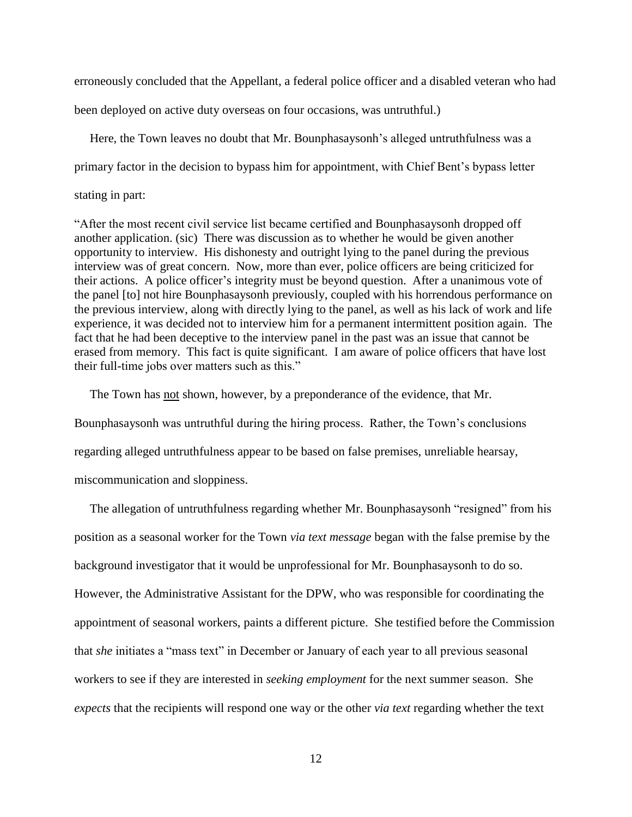erroneously concluded that the Appellant, a federal police officer and a disabled veteran who had

been deployed on active duty overseas on four occasions, was untruthful.)

 Here, the Town leaves no doubt that Mr. Bounphasaysonh's alleged untruthfulness was a primary factor in the decision to bypass him for appointment, with Chief Bent's bypass letter stating in part:

"After the most recent civil service list became certified and Bounphasaysonh dropped off another application. (sic) There was discussion as to whether he would be given another opportunity to interview. His dishonesty and outright lying to the panel during the previous interview was of great concern. Now, more than ever, police officers are being criticized for their actions. A police officer's integrity must be beyond question. After a unanimous vote of the panel [to] not hire Bounphasaysonh previously, coupled with his horrendous performance on the previous interview, along with directly lying to the panel, as well as his lack of work and life experience, it was decided not to interview him for a permanent intermittent position again. The fact that he had been deceptive to the interview panel in the past was an issue that cannot be erased from memory. This fact is quite significant. I am aware of police officers that have lost their full-time jobs over matters such as this."

The Town has not shown, however, by a preponderance of the evidence, that Mr.

Bounphasaysonh was untruthful during the hiring process. Rather, the Town's conclusions

regarding alleged untruthfulness appear to be based on false premises, unreliable hearsay,

miscommunication and sloppiness.

 The allegation of untruthfulness regarding whether Mr. Bounphasaysonh "resigned" from his position as a seasonal worker for the Town *via text message* began with the false premise by the background investigator that it would be unprofessional for Mr. Bounphasaysonh to do so. However, the Administrative Assistant for the DPW, who was responsible for coordinating the appointment of seasonal workers, paints a different picture. She testified before the Commission that *she* initiates a "mass text" in December or January of each year to all previous seasonal workers to see if they are interested in *seeking employment* for the next summer season. She *expects* that the recipients will respond one way or the other *via text* regarding whether the text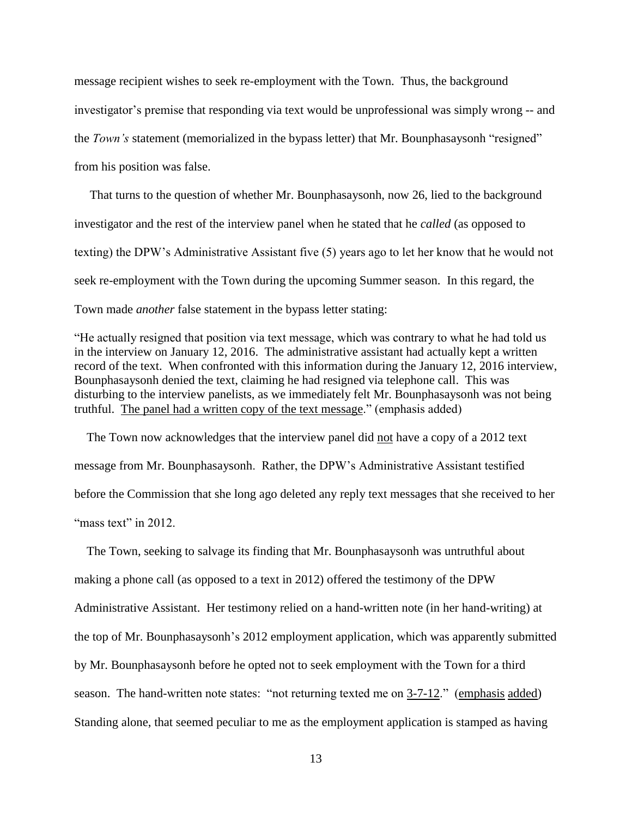message recipient wishes to seek re-employment with the Town.Thus, the background investigator's premise that responding via text would be unprofessional was simply wrong -- and the *Town's* statement (memorialized in the bypass letter) that Mr. Bounphasaysonh "resigned" from his position was false.

 That turns to the question of whether Mr. Bounphasaysonh, now 26, lied to the background investigator and the rest of the interview panel when he stated that he *called* (as opposed to texting) the DPW's Administrative Assistant five (5) years ago to let her know that he would not seek re-employment with the Town during the upcoming Summer season. In this regard, the Town made *another* false statement in the bypass letter stating:

"He actually resigned that position via text message, which was contrary to what he had told us in the interview on January 12, 2016. The administrative assistant had actually kept a written record of the text. When confronted with this information during the January 12, 2016 interview, Bounphasaysonh denied the text, claiming he had resigned via telephone call. This was disturbing to the interview panelists, as we immediately felt Mr. Bounphasaysonh was not being truthful. The panel had a written copy of the text message." (emphasis added)

 The Town now acknowledges that the interview panel did not have a copy of a 2012 text message from Mr. Bounphasaysonh. Rather, the DPW's Administrative Assistant testified before the Commission that she long ago deleted any reply text messages that she received to her "mass text" in 2012

 The Town, seeking to salvage its finding that Mr. Bounphasaysonh was untruthful about making a phone call (as opposed to a text in 2012) offered the testimony of the DPW Administrative Assistant. Her testimony relied on a hand-written note (in her hand-writing) at the top of Mr. Bounphasaysonh's 2012 employment application, which was apparently submitted by Mr. Bounphasaysonh before he opted not to seek employment with the Town for a third season. The hand-written note states: "not returning texted me on  $3-7-12$ ." (emphasis added) Standing alone, that seemed peculiar to me as the employment application is stamped as having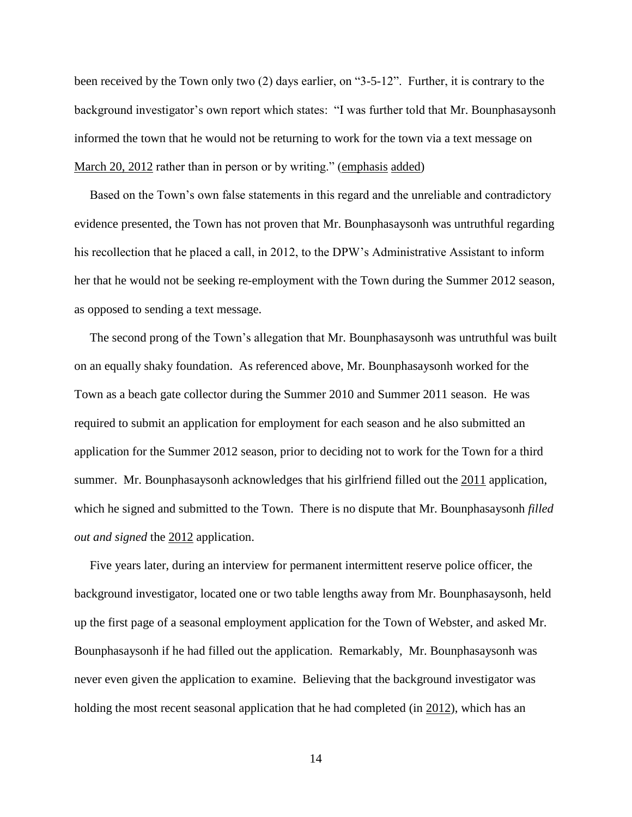been received by the Town only two (2) days earlier, on "3-5-12". Further, it is contrary to the background investigator's own report which states: "I was further told that Mr. Bounphasaysonh informed the town that he would not be returning to work for the town via a text message on March 20, 2012 rather than in person or by writing." (emphasis added)

 Based on the Town's own false statements in this regard and the unreliable and contradictory evidence presented, the Town has not proven that Mr. Bounphasaysonh was untruthful regarding his recollection that he placed a call, in 2012, to the DPW's Administrative Assistant to inform her that he would not be seeking re-employment with the Town during the Summer 2012 season, as opposed to sending a text message.

 The second prong of the Town's allegation that Mr. Bounphasaysonh was untruthful was built on an equally shaky foundation. As referenced above, Mr. Bounphasaysonh worked for the Town as a beach gate collector during the Summer 2010 and Summer 2011 season. He was required to submit an application for employment for each season and he also submitted an application for the Summer 2012 season, prior to deciding not to work for the Town for a third summer. Mr. Bounphasaysonh acknowledges that his girlfriend filled out the 2011 application, which he signed and submitted to the Town. There is no dispute that Mr. Bounphasaysonh *filled out and signed* the 2012 application.

 Five years later, during an interview for permanent intermittent reserve police officer, the background investigator, located one or two table lengths away from Mr. Bounphasaysonh, held up the first page of a seasonal employment application for the Town of Webster, and asked Mr. Bounphasaysonh if he had filled out the application. Remarkably, Mr. Bounphasaysonh was never even given the application to examine. Believing that the background investigator was holding the most recent seasonal application that he had completed (in 2012), which has an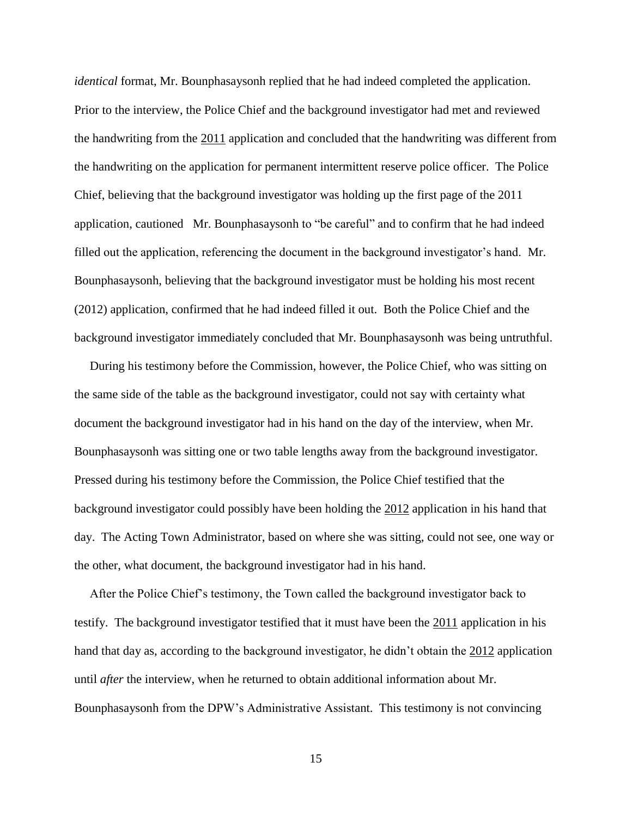*identical* format, Mr. Bounphasaysonh replied that he had indeed completed the application. Prior to the interview, the Police Chief and the background investigator had met and reviewed the handwriting from the 2011 application and concluded that the handwriting was different from the handwriting on the application for permanent intermittent reserve police officer. The Police Chief, believing that the background investigator was holding up the first page of the 2011 application, cautioned Mr. Bounphasaysonh to "be careful" and to confirm that he had indeed filled out the application, referencing the document in the background investigator's hand. Mr. Bounphasaysonh, believing that the background investigator must be holding his most recent (2012) application, confirmed that he had indeed filled it out. Both the Police Chief and the background investigator immediately concluded that Mr. Bounphasaysonh was being untruthful.

 During his testimony before the Commission, however, the Police Chief, who was sitting on the same side of the table as the background investigator, could not say with certainty what document the background investigator had in his hand on the day of the interview, when Mr. Bounphasaysonh was sitting one or two table lengths away from the background investigator. Pressed during his testimony before the Commission, the Police Chief testified that the background investigator could possibly have been holding the 2012 application in his hand that day. The Acting Town Administrator, based on where she was sitting, could not see, one way or the other, what document, the background investigator had in his hand.

 After the Police Chief's testimony, the Town called the background investigator back to testify. The background investigator testified that it must have been the 2011 application in his hand that day as, according to the background investigator, he didn't obtain the 2012 application until *after* the interview, when he returned to obtain additional information about Mr. Bounphasaysonh from the DPW's Administrative Assistant. This testimony is not convincing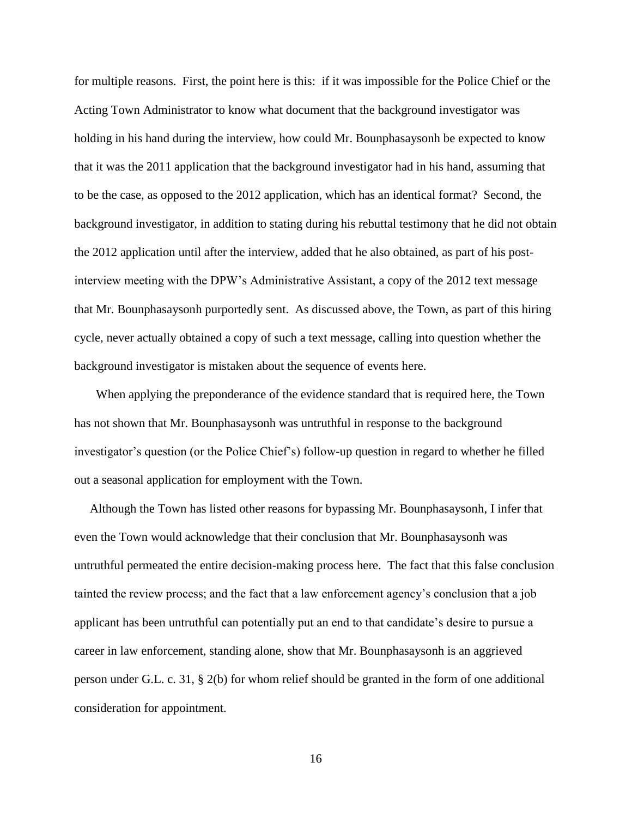for multiple reasons. First, the point here is this: if it was impossible for the Police Chief or the Acting Town Administrator to know what document that the background investigator was holding in his hand during the interview, how could Mr. Bounphasaysonh be expected to know that it was the 2011 application that the background investigator had in his hand, assuming that to be the case, as opposed to the 2012 application, which has an identical format? Second, the background investigator, in addition to stating during his rebuttal testimony that he did not obtain the 2012 application until after the interview, added that he also obtained, as part of his postinterview meeting with the DPW's Administrative Assistant, a copy of the 2012 text message that Mr. Bounphasaysonh purportedly sent. As discussed above, the Town, as part of this hiring cycle, never actually obtained a copy of such a text message, calling into question whether the background investigator is mistaken about the sequence of events here.

 When applying the preponderance of the evidence standard that is required here, the Town has not shown that Mr. Bounphasaysonh was untruthful in response to the background investigator's question (or the Police Chief's) follow-up question in regard to whether he filled out a seasonal application for employment with the Town.

 Although the Town has listed other reasons for bypassing Mr. Bounphasaysonh, I infer that even the Town would acknowledge that their conclusion that Mr. Bounphasaysonh was untruthful permeated the entire decision-making process here. The fact that this false conclusion tainted the review process; and the fact that a law enforcement agency's conclusion that a job applicant has been untruthful can potentially put an end to that candidate's desire to pursue a career in law enforcement, standing alone, show that Mr. Bounphasaysonh is an aggrieved person under G.L. c. 31, § 2(b) for whom relief should be granted in the form of one additional consideration for appointment.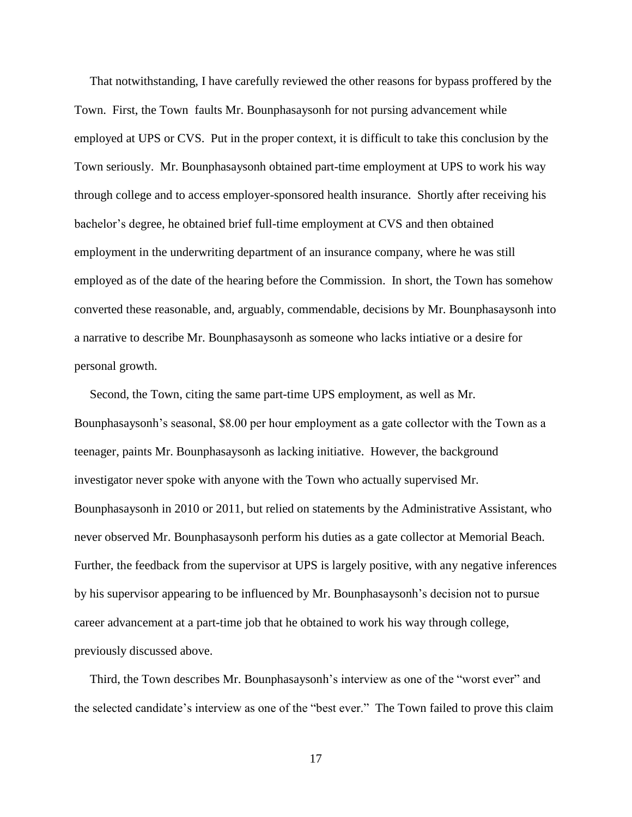That notwithstanding, I have carefully reviewed the other reasons for bypass proffered by the Town. First, the Town faults Mr. Bounphasaysonh for not pursing advancement while employed at UPS or CVS. Put in the proper context, it is difficult to take this conclusion by the Town seriously. Mr. Bounphasaysonh obtained part-time employment at UPS to work his way through college and to access employer-sponsored health insurance. Shortly after receiving his bachelor's degree, he obtained brief full-time employment at CVS and then obtained employment in the underwriting department of an insurance company, where he was still employed as of the date of the hearing before the Commission. In short, the Town has somehow converted these reasonable, and, arguably, commendable, decisions by Mr. Bounphasaysonh into a narrative to describe Mr. Bounphasaysonh as someone who lacks intiative or a desire for personal growth.

 Second, the Town, citing the same part-time UPS employment, as well as Mr. Bounphasaysonh's seasonal, \$8.00 per hour employment as a gate collector with the Town as a teenager, paints Mr. Bounphasaysonh as lacking initiative. However, the background investigator never spoke with anyone with the Town who actually supervised Mr. Bounphasaysonh in 2010 or 2011, but relied on statements by the Administrative Assistant, who never observed Mr. Bounphasaysonh perform his duties as a gate collector at Memorial Beach. Further, the feedback from the supervisor at UPS is largely positive, with any negative inferences by his supervisor appearing to be influenced by Mr. Bounphasaysonh's decision not to pursue career advancement at a part-time job that he obtained to work his way through college, previously discussed above.

 Third, the Town describes Mr. Bounphasaysonh's interview as one of the "worst ever" and the selected candidate's interview as one of the "best ever." The Town failed to prove this claim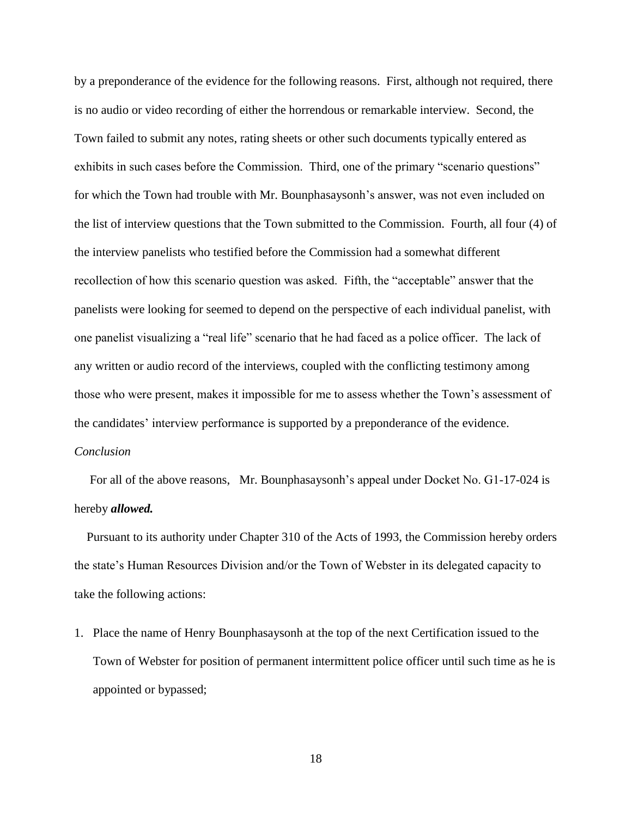by a preponderance of the evidence for the following reasons. First, although not required, there is no audio or video recording of either the horrendous or remarkable interview. Second, the Town failed to submit any notes, rating sheets or other such documents typically entered as exhibits in such cases before the Commission. Third, one of the primary "scenario questions" for which the Town had trouble with Mr. Bounphasaysonh's answer, was not even included on the list of interview questions that the Town submitted to the Commission. Fourth, all four (4) of the interview panelists who testified before the Commission had a somewhat different recollection of how this scenario question was asked. Fifth, the "acceptable" answer that the panelists were looking for seemed to depend on the perspective of each individual panelist, with one panelist visualizing a "real life" scenario that he had faced as a police officer. The lack of any written or audio record of the interviews, coupled with the conflicting testimony among those who were present, makes it impossible for me to assess whether the Town's assessment of the candidates' interview performance is supported by a preponderance of the evidence. *Conclusion*

 For all of the above reasons, Mr. Bounphasaysonh's appeal under Docket No. G1-17-024 is hereby *allowed.*

 Pursuant to its authority under Chapter 310 of the Acts of 1993, the Commission hereby orders the state's Human Resources Division and/or the Town of Webster in its delegated capacity to take the following actions:

1. Place the name of Henry Bounphasaysonh at the top of the next Certification issued to the Town of Webster for position of permanent intermittent police officer until such time as he is appointed or bypassed;